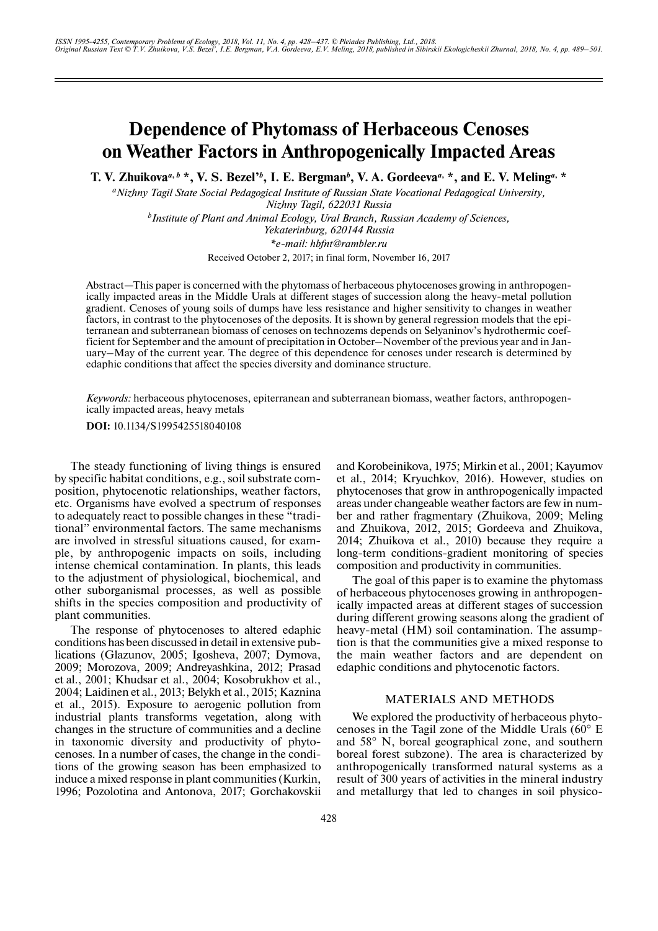# **Dependence of Phytomass of Herbaceous Cenoses on Weather Factors in Anthropogenically Impacted Areas**

**T. V. Zhuikova***a***,** *<sup>b</sup>*  **\*, V. S. Bezel'***<sup>b</sup>* **, I. E. Bergman***<sup>b</sup>* **, V. A. Gordeeva***a***, \*, and E. V. Meling***a***, \***

*a Nizhny Tagil State Social Pedagogical Institute of Russian State Vocational Pedagogical University, Nizhny Tagil, 622031 Russia*

*b Institute of Plant and Animal Ecology, Ural Branch, Russian Academy of Sciences, Yekaterinburg, 620144 Russia \*e-mail: hbfnt@rambler.ru*

Received October 2, 2017; in final form, November 16, 2017

Abstract—This paper is concerned with the phytomass of herbaceous phytocenoses growing in anthropogenically impacted areas in the Middle Urals at different stages of succession along the heavy-metal pollution gradient. Cenoses of young soils of dumps have less resistance and higher sensitivity to changes in weather factors, in contrast to the phytocenoses of the deposits. It is shown by general regression models that the epiterranean and subterranean biomass of cenoses on technozems depends on Selyaninov's hydrothermic coefficient for September and the amount of precipitation in October–November of the previous year and in January–May of the current year. The degree of this dependence for cenoses under research is determined by edaphic conditions that affect the species diversity and dominance structure.

*Keywords:* herbaceous phytocenoses, epiterranean and subterranean biomass, weather factors, anthropogenically impacted areas, heavy metals

**DOI:** 10.1134/S1995425518040108

The steady functioning of living things is ensured by specific habitat conditions, e.g., soil substrate composition, phytocenotic relationships, weather factors, etc. Organisms have evolved a spectrum of responses to adequately react to possible changes in these "traditional" environmental factors. The same mechanisms are involved in stressful situations caused, for example, by anthropogenic impacts on soils, including intense chemical contamination. In plants, this leads to the adjustment of physiological, biochemical, and other suborganismal processes, as well as possible shifts in the species composition and productivity of plant communities.

The response of phytocenoses to altered edaphic conditions has been discussed in detail in extensive publications (Glazunov, 2005; Igosheva, 2007; Dymova, 2009; Morozova, 2009; Andreyashkina, 2012; Prasad et al., 2001; Khudsar et al., 2004; Kosobrukhov et al., 2004; Laidinen et al., 2013; Belykh et al., 2015; Kaznina et al., 2015). Exposure to aerogenic pollution from industrial plants transforms vegetation, along with changes in the structure of communities and a decline in taxonomic diversity and productivity of phytocenoses. In a number of cases, the change in the conditions of the growing season has been emphasized to induce a mixed response in plant communities (Kurkin, 1996; Pozolotina and Antonova, 2017; Gorchakovskii and Korobeinikova, 1975; Mirkin et al., 2001; Kayumov et al., 2014; Kryuchkov, 2016). However, studies on phytocenoses that grow in anthropogenically impacted areas under changeable weather factors are few in number and rather fragmentary (Zhuikova, 2009; Meling and Zhuikova, 2012, 2015; Gordeeva and Zhuikova, 2014; Zhuikova et al., 2010) because they require a long-term conditions-gradient monitoring of species composition and productivity in communities.

The goal of this paper is to examine the phytomass of herbaceous phytocenoses growing in anthropogenically impacted areas at different stages of succession during different growing seasons along the gradient of heavy-metal (HM) soil contamination. The assumption is that the communities give a mixed response to the main weather factors and are dependent on edaphic conditions and phytocenotic factors.

## MATERIALS AND METHODS

We explored the productivity of herbaceous phytocenoses in the Tagil zone of the Middle Urals (60° E and 58° N, boreal geographical zone, and southern boreal forest subzone). The area is characterized by anthropogenically transformed natural systems as a result of 300 years of activities in the mineral industry and metallurgy that led to changes in soil physico-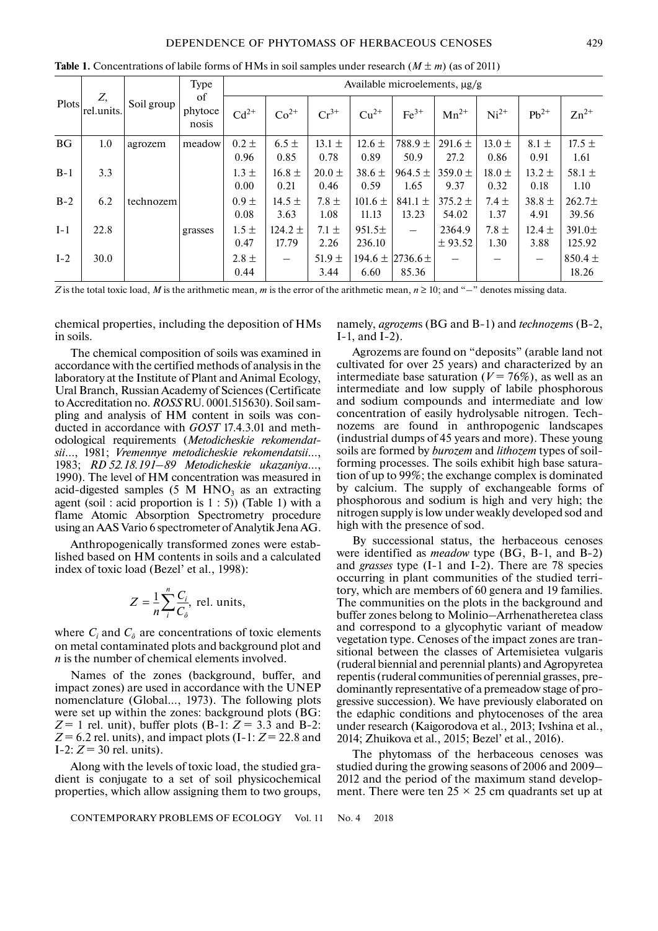| Plots     | Z,<br>rel.units. | Soil group | Type                   | Available microelements, µg/g |                          |            |             |                        |             |            |            |                    |
|-----------|------------------|------------|------------------------|-------------------------------|--------------------------|------------|-------------|------------------------|-------------|------------|------------|--------------------|
|           |                  |            | of<br>phytoce<br>nosis | $Cd^{2+}$                     | $Co2+$                   | $Cr^{3+}$  | $Cu2+$      | $\text{Fe}^{3+}$       | $Mn^{2+}$   | $Ni2+$     | $Pb^{2+}$  | $Zn^{2+}$          |
| <b>BG</b> | 1.0              | agrozem    | meadow                 | $0.2 \pm$                     | $6.5 \pm$                | $13.1 \pm$ | $12.6 \pm$  | $788.9 \pm$            | $291.6 \pm$ | $13.0 \pm$ | $8.1 \pm$  | $17.5 \pm$         |
|           |                  |            |                        | 0.96                          | 0.85                     | 0.78       | 0.89        | 50.9                   | 27.2        | 0.86       | 0.91       | 1.61               |
| $B-1$     | 3.3              |            |                        | $1.3 \pm$                     | $16.8 \pm$               | $20.0 \pm$ | $38.6 \pm$  | $964.5 \pm$            | $359.0 \pm$ | $18.0 \pm$ | $13.2 \pm$ | 58.1 $\pm$         |
|           |                  |            |                        | 0.00                          | 0.21                     | 0.46       | 0.59        | 1.65                   | 9.37        | 0.32       | 0.18       | 1.10               |
| $B-2$     | 6.2              | technozem  |                        | 0.9 <sub>±</sub>              | 14.5 $\pm$               | $7.8 \pm$  | $101.6 \pm$ | $841.1 \pm$            | $375.2 \pm$ | $7.4 \pm$  | $38.8 \pm$ | 262.7 <sub>±</sub> |
|           |                  |            |                        | 0.08                          | 3.63                     | 1.08       | 11.13       | 13.23                  | 54.02       | 1.37       | 4.91       | 39.56              |
| $I-1$     | 22.8             |            | grasses                | $1.5 \pm$                     | $124.2 \pm$              | $7.1 \pm$  | 951.5±      |                        | 2364.9      | $7.8 \pm$  | $12.4 \pm$ | $391.0 \pm$        |
|           |                  |            |                        | 0.47                          | 17.79                    | 2.26       | 236.10      |                        | ± 93.52     | 1.30       | 3.88       | 125.92             |
| $I-2$     | 30.0             |            |                        | $2.8 \pm$                     | $\overline{\phantom{m}}$ | $51.9 \pm$ |             | $194.6 \pm 2736.6 \pm$ |             |            |            | $850.4 \pm$        |
|           |                  |            |                        | 0.44                          |                          | 3.44       | 6.60        | 85.36                  |             |            |            | 18.26              |
|           |                  |            |                        |                               |                          |            |             |                        |             |            |            |                    |

**Table 1.** Concentrations of labile forms of HMs in soil samples under research (*М* ± *m*) (as of 2011)

*Z* is the total toxic load, *M* is the arithmetic mean, *m* is the error of the arithmetic mean,  $n \ge 10$ ; and "–" denotes missing data.

chemical properties, including the deposition of HMs in soils.

The chemical composition of soils was examined in accordance with the certified methods of analysis in the laboratory at the Institute of Plant and Animal Ecology, Ural Branch, Russian Academy of Sciences (Certificate to Accreditation no. *ROSS* RU. 0001.515630). Soil sampling and analysis of HM content in soils was conducted in accordance with *GOST* 17.4.3.01 and methodological requirements (*Metodicheskie rekomendatsii*…, 1981; *Vremennye metodicheskie rekomendatsii*…, 1983; *RD 52.18.191–89 Metodicheskie ukazaniya*…, 1990). The level of HM concentration was measured in acid-digested samples  $(5 \text{ M HNO}_3)$  as an extracting agent (soil : acid proportion is  $1:5$ ) (Table 1) with a flame Atomic Absorption Spectrometry procedure using an AAS Vario 6 spectrometer of Analytik Jena AG.

Anthropogenically transformed zones were established based on HM contents in soils and a calculated index of toxic load (Bezel' et al., 1998):

$$
Z = \frac{1}{n} \sum_{i}^{n} \frac{C_i}{C_{\delta}}, \text{ rel. units},
$$

where  $C_i$  and  $C_{\delta}$  are concentrations of toxic elements on metal contaminated plots and background plot and *n* is the number of chemical elements involved.

Names of the zones (background, buffer, and impact zones) are used in accordance with the UNEP nomenclature (Global…, 1973). The following plots were set up within the zones: background plots (BG:  $Z = 1$  rel. unit), buffer plots (B-1:  $Z = 3.3$  and B-2:  $Z = 6.2$  rel. units), and impact plots  $(I - 1: Z = 22.8$  and  $I-2: Z = 30$  rel. units).

Along with the levels of toxic load, the studied gradient is conjugate to a set of soil physicochemical properties, which allow assigning them to two groups, namely, *agrozem*s (BG and B-1) and *technozem*s (B-2, I-1, and I-2).

Agrozems are found on "deposits" (arable land not cultivated for over 25 years) and characterized by an intermediate base saturation ( $V = 76\%$ ), as well as an intermediate and low supply of labile phosphorous and sodium compounds and intermediate and low concentration of easily hydrolysable nitrogen. Technozems are found in anthropogenic landscapes (industrial dumps of 45 years and more). These young soils are formed by *burozem* and *lithozem* types of soilforming processes. The soils exhibit high base saturation of up to 99%; the exchange complex is dominated by calcium. The supply of exchangeable forms of phosphorous and sodium is high and very high; the nitrogen supply is low under weakly developed sod and high with the presence of sod.

By successional status, the herbaceous cenoses were identified as *meadow* type (BG, B-1, and B-2) and *grasses* type (I-1 and I-2). There are 78 species occurring in plant communities of the studied territory, which are members of 60 genera and 19 families. The communities on the plots in the background and buffer zones belong to Molinio–Arrhenathеretea class and correspond to a glycophytic variant of meadow vegetation type. Cenoses of the impact zones are transitional between the classes of Artemisietea vulgaris (ruderal biennial and perennial plants) and Agropyretea repentis (ruderal communities of perennial grasses, predominantly representative of a premeadow stage of progressive succession). We have previously elaborated on the edaphic conditions and phytocenoses of the area under research (Kaigorodova et al., 2013; Ivshina et al., 2014; Zhuikova et al., 2015; Bezel' et al., 2016).

The phytomass of the herbaceous cenoses was studied during the growing seasons of 2006 and 2009– 2012 and the period of the maximum stand development. There were ten  $25 \times 25$  cm quadrants set up at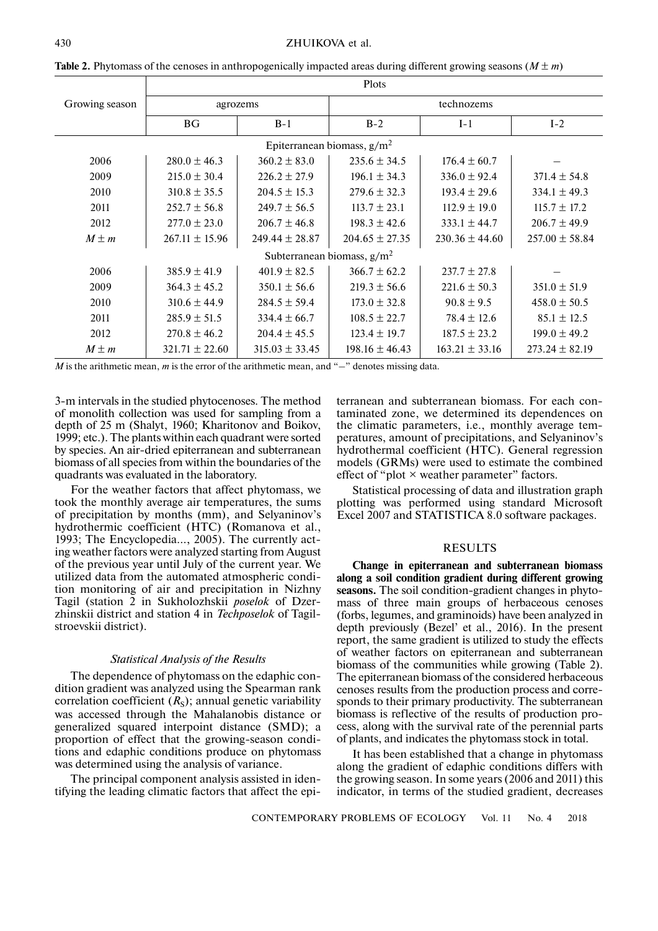$D1_{\alpha \pm \alpha}$ 

|                | 1. 1015            |                               |                    |                    |                    |  |  |  |  |
|----------------|--------------------|-------------------------------|--------------------|--------------------|--------------------|--|--|--|--|
| Growing season | agrozems           |                               | technozems         |                    |                    |  |  |  |  |
|                | <b>BG</b>          | $B-1$                         | $B-2$              | $I-1$              | $I-2$              |  |  |  |  |
|                |                    | Epiterranean biomass, $g/m^2$ |                    |                    |                    |  |  |  |  |
| 2006           | $280.0 \pm 46.3$   | $360.2 \pm 83.0$              | $235.6 \pm 34.5$   | $176.4 \pm 60.7$   |                    |  |  |  |  |
| 2009           | $215.0 \pm 30.4$   | $226.2 \pm 27.9$              | $196.1 \pm 34.3$   | $336.0 \pm 92.4$   | $371.4 \pm 54.8$   |  |  |  |  |
| 2010           | $310.8 \pm 35.5$   | $204.5 \pm 15.3$              | $279.6 \pm 32.3$   | $193.4 \pm 29.6$   | $334.1 \pm 49.3$   |  |  |  |  |
| 2011           | $252.7 \pm 56.8$   | $249.7 \pm 56.5$              | $113.7 \pm 23.1$   | $112.9 \pm 19.0$   | $115.7 \pm 17.2$   |  |  |  |  |
| 2012           | $277.0 \pm 23.0$   | $206.7 \pm 46.8$              | $198.3 \pm 42.6$   | $333.1 \pm 44.7$   | $206.7 \pm 49.9$   |  |  |  |  |
| $M \pm m$      | $267.11 \pm 15.96$ | $249.44 \pm 28.87$            | $204.65 \pm 27.35$ | $230.36 \pm 44.60$ | $257.00 \pm 58.84$ |  |  |  |  |
|                |                    |                               |                    |                    |                    |  |  |  |  |
| 2006           | $385.9 \pm 41.9$   | $401.9 \pm 82.5$              | $366.7 \pm 62.2$   | $237.7 \pm 27.8$   |                    |  |  |  |  |
| 2009           | $364.3 \pm 45.2$   | $350.1 \pm 56.6$              | $219.3 \pm 56.6$   | $221.6 \pm 50.3$   | $351.0 \pm 51.9$   |  |  |  |  |
| 2010           | $310.6 \pm 44.9$   | $284.5 \pm 59.4$              | $173.0 \pm 32.8$   | $90.8 \pm 9.5$     | $458.0 \pm 50.5$   |  |  |  |  |
| 2011           | $285.9 \pm 51.5$   | $334.4 \pm 66.7$              | $108.5 \pm 22.7$   | $78.4 \pm 12.6$    | $85.1 \pm 12.5$    |  |  |  |  |
| 2012           | $270.8 \pm 46.2$   | $204.4 \pm 45.5$              | $123.4 \pm 19.7$   | $187.5 \pm 23.2$   | $199.0 \pm 49.2$   |  |  |  |  |
| $M \pm m$      | $321.71 \pm 22.60$ | $315.03 \pm 33.45$            | $198.16 \pm 46.43$ | $163.21 \pm 33.16$ | $273.24 \pm 82.19$ |  |  |  |  |

**Table 2.** Phytomass of the cenoses in anthropogenically impacted areas during different growing seasons ( $M \pm m$ )

*М* is the arithmetic mean, *m* is the error of the arithmetic mean, and "–" denotes missing data.

3-m intervals in the studied phytocenoses. The method of monolith collection was used for sampling from a depth of 25 m (Shalyt, 1960; Kharitonov and Boikov, 1999; etc.). The plants within each quadrant were sorted by species. An air-dried epiterranean and subterranean biomass of all species from within the boundaries of the quadrants was evaluated in the laboratory.

For the weather factors that affect phytomass, we took the monthly average air temperatures, the sums of precipitation by months (mm), and Selyaninov's hydrothermic coefficient (HTC) (Romanova et al., 1993; The Encyclopedia…, 2005). The currently acting weather factors were analyzed starting from August of the previous year until July of the current year. We utilized data from the automated atmospheric condition monitoring of air and precipitation in Nizhny Tagil (station 2 in Sukholozhskii *poselok* of Dzerzhinskii district and station 4 in *Techposelok* of Tagilstroevskii district).

## *Statistical Analysis of the Results*

The dependence of phytomass on the edaphic condition gradient was analyzed using the Spearman rank correlation coefficient  $(R<sub>S</sub>)$ ; annual genetic variability was accessed through the Mahalanobis distance or generalized squared interpoint distance (SMD); a proportion of effect that the growing-season conditions and edaphic conditions produce on phytomass was determined using the analysis of variance.

The principal component analysis assisted in identifying the leading climatic factors that affect the epiterranean and subterranean biomass. For each contaminated zone, we determined its dependences on the climatic parameters, i.e., monthly average temperatures, amount of precipitations, and Selyaninov's hydrothermal coefficient (HTC). General regression models (GRMs) were used to estimate the combined effect of "plot × weather parameter" factors.

Statistical processing of data and illustration graph plotting was performed using standard Microsoft Excel 2007 and STATISTICA 8.0 software packages.

#### RESULTS

**Change in epiterranean and subterranean biomass along a soil condition gradient during different growing seasons.** The soil condition-gradient changes in phytomass of three main groups of herbaceous cenoses (forbs, legumes, and graminoids) have been analyzed in depth previously (Bezel' et al., 2016). In the present report, the same gradient is utilized to study the effects of weather factors on epiterranean and subterranean biomass of the communities while growing (Table 2). The epiterranean biomass of the considered herbaceous cenoses results from the production process and corresponds to their primary productivity. The subterranean biomass is reflective of the results of production process, along with the survival rate of the perennial parts of plants, and indicates the phytomass stock in total.

It has been established that a change in phytomass along the gradient of edaphic conditions differs with the growing season. In some years (2006 and 2011) this indicator, in terms of the studied gradient, decreases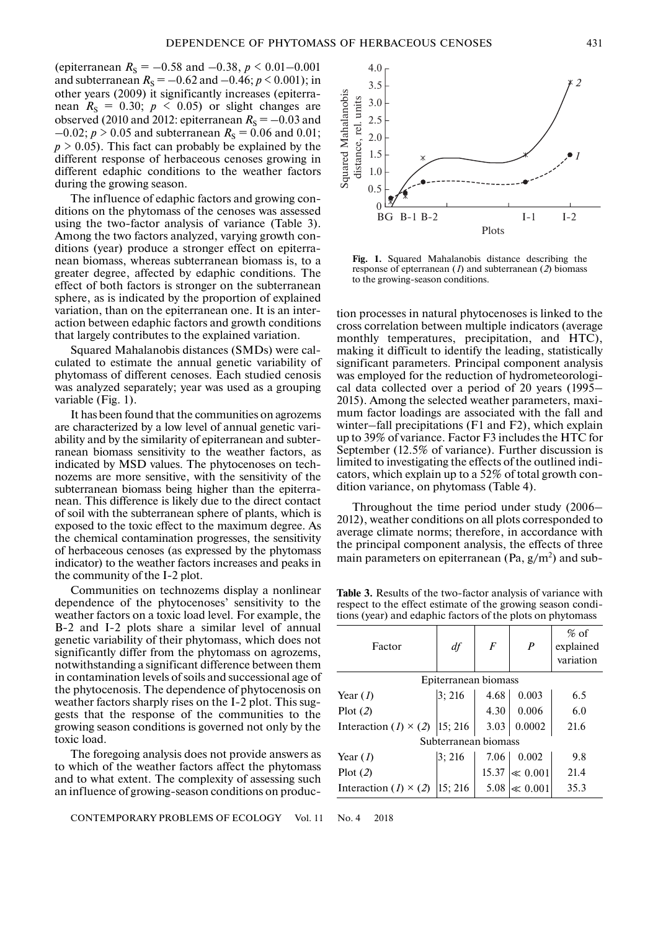(epiterranean  $R_s = -0.58$  and  $-0.38$ ,  $p \le 0.01 - 0.001$ and subterranean  $R_s = -0.62$  and  $-0.46$ ;  $p < 0.001$ ); in other years (2009) it significantly increases (epiterranean  $R<sub>S</sub> = 0.30$ ;  $p \lt 0.05$ ) or slight changes are observed (2010 and 2012: epiterranean  $R<sub>S</sub> = -0.03$  and  $-0.02$ ;  $p > 0.05$  and subterranean  $R_s = 0.06$  and 0.01;  $p > 0.05$ ). This fact can probably be explained by the different response of herbaceous cenoses growing in different edaphic conditions to the weather factors during the growing season.

The influence of edaphic factors and growing conditions on the phytomass of the cenoses was assessed using the two-factor analysis of variance (Table 3). Among the two factors analyzed, varying growth conditions (year) produce a stronger effect on epiterranean biomass, whereas subterranean biomass is, to a greater degree, affected by edaphic conditions. The effect of both factors is stronger on the subterranean sphere, as is indicated by the proportion of explained variation, than on the epiterranean one. It is an interaction between edaphic factors and growth conditions that largely contributes to the explained variation.

Squared Mahalanobis distances (SMDs) were calculated to estimate the annual genetic variability of phytomass of different cenoses. Each studied cenosis was analyzed separately; year was used as a grouping variable (Fig. 1).

It has been found that the communities on agrozems are characterized by a low level of annual genetic variability and by the similarity of epiterranean and subterranean biomass sensitivity to the weather factors, as indicated by MSD values. The phytocenoses on technozems are more sensitive, with the sensitivity of the subterranean biomass being higher than the epiterranean. This difference is likely due to the direct contact of soil with the subterranean sphere of plants, which is exposed to the toxic effect to the maximum degree. As the chemical contamination progresses, the sensitivity of herbaceous cenoses (as expressed by the phytomass indicator) to the weather factors increases and peaks in the community of the I-2 plot.

Communities on technozems display a nonlinear dependence of the phytocenoses' sensitivity to the weather factors on a toxic load level. For example, the B-2 and I-2 plots share a similar level of annual genetic variability of their phytomass, which does not significantly differ from the phytomass on agrozems, notwithstanding a significant difference between them in contamination levels of soils and successional age of the phytocenosis. The dependence of phytocenosis on weather factors sharply rises on the I-2 plot. This suggests that the response of the communities to the growing season conditions is governed not only by the toxic load.

The foregoing analysis does not provide answers as to which of the weather factors affect the phytomass and to what extent. The complexity of assessing such an influence of growing-season conditions on produc-





**Fig. 1.** Squared Mahalanobis distance describing the response of epterranean (*1*) and subterranean (*2*) biomass to the growing-season conditions.

tion processes in natural phytocenoses is linked to the cross correlation between multiple indicators (average monthly temperatures, precipitation, and HTC), making it difficult to identify the leading, statistically significant parameters. Principal component analysis was employed for the reduction of hydrometeorological data collected over a period of 20 years (1995– 2015). Among the selected weather parameters, maximum factor loadings are associated with the fall and winter–fall precipitations (F1 and F2), which explain up to 39% of variance. Factor F3 includes the HTC for September (12.5% of variance). Further discussion is limited to investigating the effects of the outlined indicators, which explain up to a 52% of total growth condition variance, on phytomass (Table 4).

Throughout the time period under study (2006– 2012), weather conditions on all plots corresponded to average climate norms; therefore, in accordance with the principal component analysis, the effects of three main parameters on epiterranean (Pa,  $g/m^2$ ) and sub-

**Table 3.** Results of the two-factor analysis of variance with respect to the effect estimate of the growing season conditions (year) and edaphic factors of the plots on phytomass

| Factor                       | df      | $\overline{F}$ | $\boldsymbol{P}$ | $%$ of<br>explained<br>variation |  |  |  |
|------------------------------|---------|----------------|------------------|----------------------------------|--|--|--|
| Epiterranean biomass         |         |                |                  |                                  |  |  |  |
| Year $(1)$                   | 3;216   | 4.68           | 0.003            | 6.5                              |  |  |  |
| Plot $(2)$                   |         | 4.30           | 0.006            | 6.0                              |  |  |  |
| Interaction (1) $\times$ (2) | 15; 216 | 3.03           | 0.0002           | 21.6                             |  |  |  |
| Subterranean biomass         |         |                |                  |                                  |  |  |  |
| Year $(I)$                   | 3;216   | 7.06           | 0.002            | 9.8                              |  |  |  |
| Plot $(2)$                   |         | 15.37          | $\ll 0.001$      | 21.4                             |  |  |  |
| Interaction (1) $\times$ (2) | 15:216  | 5.08           | $\ll 0.001$      | 35.3                             |  |  |  |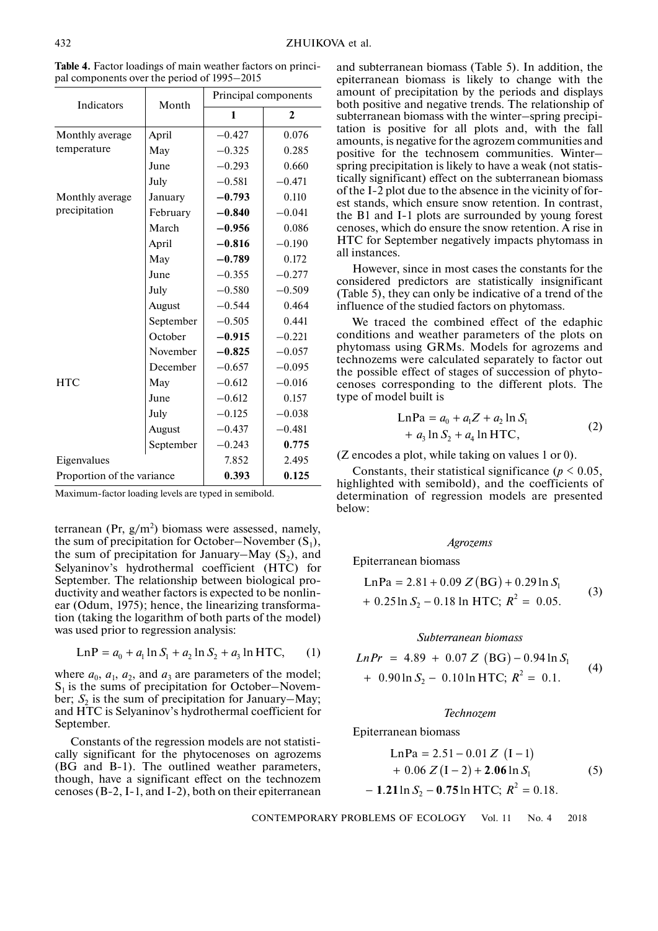| <b>Indicators</b>          | Month     | Principal components |              |  |  |
|----------------------------|-----------|----------------------|--------------|--|--|
|                            |           | 1                    | $\mathbf{2}$ |  |  |
| Monthly average            | April     | $-0.427$             | 0.076        |  |  |
| temperature                | May       | $-0.325$             | 0.285        |  |  |
|                            | June      | $-0.293$             | 0.660        |  |  |
|                            | July      | $-0.581$             | $-0.471$     |  |  |
| Monthly average            | January   | $-0.793$             | 0.110        |  |  |
| precipitation              | February  | $-0.840$             | $-0.041$     |  |  |
|                            | March     | $-0.956$             | 0.086        |  |  |
|                            | April     | $-0.816$             | $-0.190$     |  |  |
|                            | May       | $-0.789$             | 0.172        |  |  |
|                            | June      | $-0.355$             | $-0.277$     |  |  |
|                            | July      | $-0.580$             | $-0.509$     |  |  |
|                            | August    | $-0.544$             | 0.464        |  |  |
|                            | September | $-0.505$             | 0.441        |  |  |
|                            | October   | $-0.915$             | $-0.221$     |  |  |
|                            | November  | $-0.825$             | $-0.057$     |  |  |
|                            | December  | $-0.657$             | $-0.095$     |  |  |
| <b>HTC</b>                 | May       | $-0.612$             | $-0.016$     |  |  |
|                            | June      | $-0.612$             | 0.157        |  |  |
|                            | July      | $-0.125$             | $-0.038$     |  |  |
|                            | August    | $-0.437$             | $-0.481$     |  |  |
|                            | September | $-0.243$             | 0.775        |  |  |
| Eigenvalues                | 7.852     | 2.495                |              |  |  |
| Proportion of the variance | 0.393     | 0.125                |              |  |  |

**Table 4.** Factor loadings of main weather factors on principal components over the period of 1995–2015

Maximum-factor loading levels are typed in semibold.

terranean (Pr,  $g/m^2$ ) biomass were assessed, namely, the sum of precipitation for October–November  $(S_1)$ , the sum of precipitation for January–May  $(S_2)$ , and Selyaninov's hydrothermal coefficient (HTC) for September. The relationship between biological productivity and weather factors is expected to be nonlinear (Odum, 1975); hence, the linearizing transformation (taking the logarithm of both parts of the model) was used prior to regression analysis:

$$
\text{LnP} = a_0 + a_1 \ln S_1 + a_2 \ln S_2 + a_3 \ln \text{HTC}, \qquad (1)
$$

where  $a_0$ ,  $a_1$ ,  $a_2$ , and  $a_3$  are parameters of the model;  $S<sub>1</sub>$  is the sums of precipitation for October–November;  $S_2$  is the sum of precipitation for January–May; and HTC is Selyaninov's hydrothermal coefficient for September.

Constants of the regression models are not statistically significant for the phytocenoses on agrozems (BG and B-1). The outlined weather parameters, though, have a significant effect on the technozem cenoses (B-2, I-1, and I-2), both on their epiterranean and subterranean biomass (Table 5). In addition, the epiterranean biomass is likely to change with the amount of precipitation by the periods and displays both positive and negative trends. The relationship of subterranean biomass with the winter–spring precipitation is positive for all plots and, with the fall amounts, is negative for the agrozem communities and positive for the technosem communities. Winter– spring precipitation is likely to have a weak (not statistically significant) effect on the subterranean biomass of the I-2 plot due to the absence in the vicinity of forest stands, which ensure snow retention. In contrast, the B1 and I-1 plots are surrounded by young forest cenoses, which do ensure the snow retention. A rise in HTC for September negatively impacts phytomass in all instances.

However, since in most cases the constants for the considered predictors are statistically insignificant (Table 5), they can only be indicative of a trend of the influence of the studied factors on phytomass.

We traced the combined effect of the edaphic conditions and weather parameters of the plots on phytomass using GRMs. Models for agrozems and technozems were calculated separately to factor out the possible effect of stages of succession of phytocenoses corresponding to the different plots. The type of model built is

$$
\begin{aligned} \text{Ln} \text{Pa} &= a_0 + a_1 Z + a_2 \ln S_1 \\ &+ a_3 \ln S_2 + a_4 \ln \text{HTC}, \end{aligned} \tag{2}
$$

(Z encodes a plot, while taking on values 1 or 0).

Constants, their statistical significance ( $p \le 0.05$ , highlighted with semibold), and the coefficients of determination of regression models are presented below:

### *Agrozems*

Epiterranean biomass

$$
\begin{aligned} \text{Ln} \text{Pa} &= 2.81 + 0.09 \, Z \left( \text{BG} \right) + 0.29 \ln S_1 \\ &+ 0.25 \ln S_2 - 0.18 \ln \text{HTC}; \, R^2 = 0.05. \end{aligned} \tag{3}
$$

# *Subterranean biomass*

$$
LnPr = 4.89 + 0.07 Z (BG) - 0.94 \ln S1
$$
  
+ 0.90 \ln S<sub>2</sub> - 0.10 \ln HTC;  $R^2$  = 0.1. (4)

# *Technozem*

Epiterranean biomass

LnPa = 2.51 – 0.01 Z (I – 1)  
+ 0.06 Z (I – 2) + **2.06** ln S<sub>1</sub> (5)  
- **1.21** ln S<sub>2</sub> – **0.75** ln HTC; 
$$
R^2 = 0.18
$$
.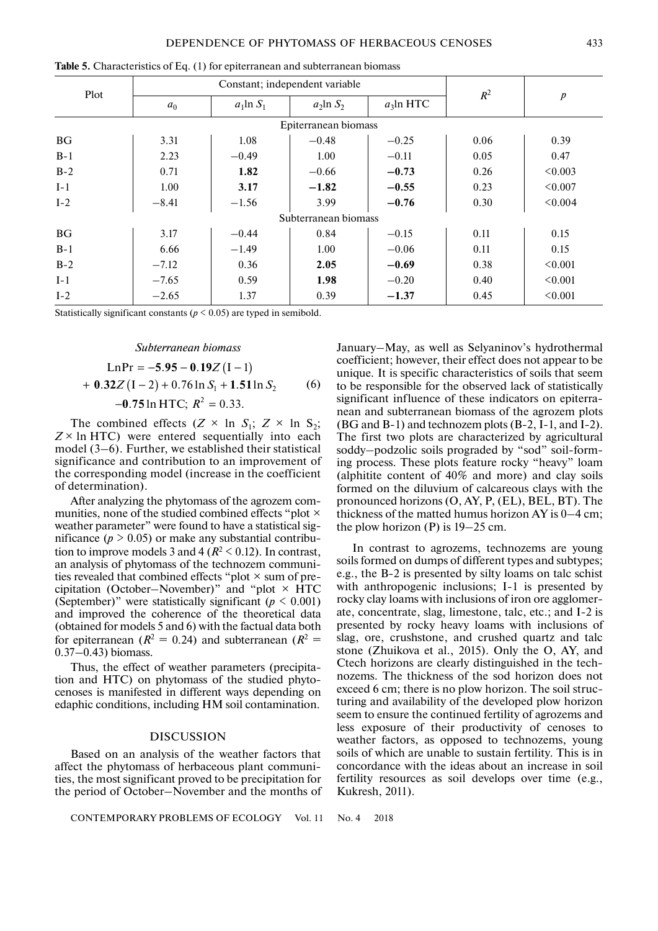| Plot                 |                | Constant; independent variable | $R^2$          |         |      |                  |  |  |  |
|----------------------|----------------|--------------------------------|----------------|---------|------|------------------|--|--|--|
|                      | a <sub>0</sub> | $a_1$ ln $S_1$                 | $a_2$ ln $S_2$ |         |      | $\boldsymbol{p}$ |  |  |  |
| Epiterranean biomass |                |                                |                |         |      |                  |  |  |  |
| <b>BG</b>            | 3.31           | 1.08                           | $-0.48$        | $-0.25$ | 0.06 | 0.39             |  |  |  |
| $B-1$                | 2.23           | $-0.49$                        | 1.00           | $-0.11$ | 0.05 | 0.47             |  |  |  |
| $B-2$                | 0.71           | 1.82                           | $-0.66$        | $-0.73$ | 0.26 | < 0.003          |  |  |  |
| $I-1$                | 1.00           | 3.17                           | $-1.82$        | $-0.55$ | 0.23 | < 0.007          |  |  |  |
| $I-2$                | $-8.41$        | $-1.56$                        | 3.99           | $-0.76$ | 0.30 | < 0.004          |  |  |  |
| Subterranean biomass |                |                                |                |         |      |                  |  |  |  |
| <b>BG</b>            | 3.17           | $-0.44$                        | 0.84           | $-0.15$ | 0.11 | 0.15             |  |  |  |
| $B-1$                | 6.66           | $-1.49$                        | 1.00           | $-0.06$ | 0.11 | 0.15             |  |  |  |
| $B-2$                | $-7.12$        | 0.36                           | 2.05           | $-0.69$ | 0.38 | < 0.001          |  |  |  |
| $I-1$                | $-7.65$        | 0.59                           | 1.98           | $-0.20$ | 0.40 | < 0.001          |  |  |  |
| $I-2$                | $-2.65$        | 1.37                           | 0.39           | $-1.37$ | 0.45 | < 0.001          |  |  |  |

**Table 5.** Characteristics of Eq. (1) for epiterranean and subterranean biomass

Statistically significant constants ( $p \le 0.05$ ) are typed in semibold.

*Subterranean biomass* (6)  $\text{LnPr} = -5.95 - 0.19Z(1 - 1)$  $+ 0.32Z(1 - 2) + 0.76\ln S_1 + 1.51\ln S_2$  $-0.75 \ln \text{HTC}$ ;  $R^2 = 0.33$ .

The combined effects  $(Z \times \ln S_1; Z \times \ln S_2;$  $Z \times$  ln HTC) were entered sequentially into each model (3–6). Further, we established their statistical significance and contribution to an improvement of the corresponding model (increase in the coefficient of determination).

After analyzing the phytomass of the agrozem communities, none of the studied combined effects "plot × weather parameter" were found to have a statistical significance ( $p > 0.05$ ) or make any substantial contribution to improve models 3 and 4 ( $R^2$  < 0.12). In contrast, an analysis of phytomass of the technozem communities revealed that combined effects "plot × sum of precipitation (October–November)" and "plot  $\times$  HTC (September)" were statistically significant ( $p \le 0.001$ ) and improved the coherence of the theoretical data (obtained for models 5 and 6) with the factual data both for epiterranean ( $R^2 = 0.24$ ) and subterranean ( $R^2 =$ 0.37–0.43) biomass.

Thus, the effect of weather parameters (precipitation and HTC) on phytomass of the studied phytocenoses is manifested in different ways depending on edaphic conditions, including HM soil contamination.

## DISCUSSION

Based on an analysis of the weather factors that affect the phytomass of herbaceous plant communities, the most significant proved to be precipitation for the period of October–November and the months of

CONTEMPORARY PROBLEMS OF ECOLOGY Vol. 11 No. 4 2018

January–May, as well as Selyaninov's hydrothermal coefficient; however, their effect does not appear to be unique*.* It is specific characteristics of soils that seem to be responsible for the observed lack of statistically significant influence of these indicators on epiterranean and subterranean biomass of the agrozem plots (BG and B-1) and technozem plots (B-2, I-1, and I-2). The first two plots are characterized by agricultural soddy–podzolic soils prograded by "sod" soil-forming process. These plots feature rocky "heavy" loam (alphitite content of 40% and more) and clay soils formed on the diluvium of calcareous clays with the pronounced horizons (O, AY, P, (EL), BEL, BT). The thickness of the matted humus horizon АY is 0–4 cm; the plow horizon (Р) is 19–25 cm.

In contrast to agrozems, technozems are young soils formed on dumps of different types and subtypes; e.g., the B-2 is presented by silty loams on talc schist with anthropogenic inclusions; I-1 is presented by rocky clay loams with inclusions of iron ore agglomerate, concentrate, slag, limestone, talc, etc.; and I-2 is presented by rocky heavy loams with inclusions of slag, ore, crushstone, and crushed quartz and talc stone (Zhuikova et al., 2015). Only the O, AY, and Ctech horizons are clearly distinguished in the technozems. The thickness of the sod horizon does not exceed 6 cm; there is no plow horizon. The soil structuring and availability of the developed plow horizon seem to ensure the continued fertility of agrozems and less exposure of their productivity of cenoses to weather factors, as opposed to technozems, young soils of which are unable to sustain fertility. This is in concordance with the ideas about an increase in soil fertility resources as soil develops over time (e.g., Kukresh, 2011).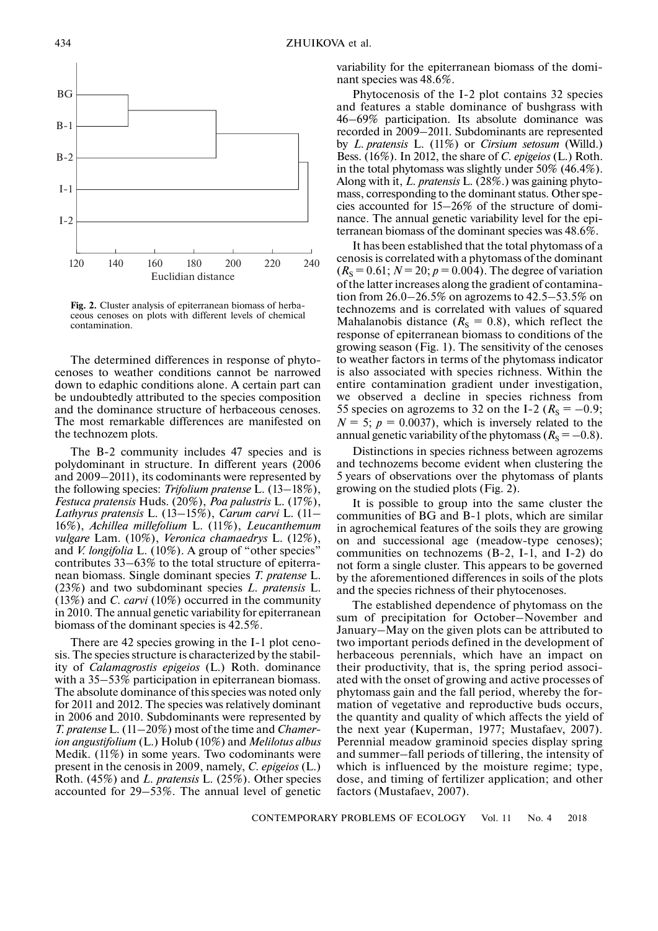

**Fig. 2.** Cluster analysis of epiterranean biomass of herbaceous cenoses on plots with different levels of chemical contamination.

The determined differences in response of phytocenoses to weather conditions cannot be narrowed down to edaphic conditions alone. A certain part can be undoubtedly attributed to the species composition and the dominance structure of herbaceous cenoses. The most remarkable differences are manifested on the technozem plots.

The B-2 community includes 47 species and is polydominant in structure. In different years (2006 and 2009–2011), its codominants were represented by the following species: *Trifolium pratense* L. (13–18%), *Festuca pratensis* Huds. (20%), *Poa palustris* L. (17%), *Lathyrus pratensis* L. (13–15%), *Carum carvi* L. (11– 16%), *Achillea millefolium* L. (11%), *Leucanthemum vulgare* Lam. (10%), *Veronica chamaedrys* L. (12%), and *V. longifolia* L. (10%). A group of "other species" contributes 33–63% to the total structure of epiterranean biomass. Single dominant species *T. pratense* L. (23%) and two subdominant species *L. pratensis* L. (13%) and *C. carvi* (10%) occurred in the community in 2010. The annual genetic variability for epiterranean biomass of the dominant species is 42.5%.

There are 42 species growing in the I-1 plot cenosis. The species structure is characterized by the stability of *Calamagrostis epigeios* (L.) Roth. dominance with a 35–53% participation in epiterranean biomass. The absolute dominance of this species was noted only for 2011 and 2012. The species was relatively dominant in 2006 and 2010. Subdominants were represented by *T. pratense* L. (11–20%) most of the time and *Chamerion angustifolium* (L.) Holub (10%) and *Melilotus albus* Medik. (11%) in some years. Two codominants were present in the cenosis in 2009, namely, *C. epigeios* (L.) Roth. (45%) and *L. pratensis* L. (25%). Other species accounted for 29–53%. The annual level of genetic variability for the epiterranean biomass of the dominant species was 48.6%.

Phytocenosis of the I-2 plot contains 32 species and features a stable dominance of bushgrass with 46–69% participation. Its absolute dominance was recorded in 2009–2011. Subdominants are represented by *L. pratensis* L. (11%) or *Cirsium setosum* (Willd.) Bess. (16%). In 2012, the share of *C. epigeios* (L.) Roth. in the total phytomass was slightly under 50% (46.4%). Along with it, *L. pratensis* L. (28%.) was gaining phytomass, corresponding to the dominant status. Other species accounted for 15–26% of the structure of dominance. The annual genetic variability level for the epiterranean biomass of the dominant species was 48.6%.

It has been established that the total phytomass of a cenosis is correlated with a phytomass of the dominant  $(R<sub>S</sub> = 0.61; N = 20; p = 0.004)$ . The degree of variation of the latter increases along the gradient of contamination from  $26.0-26.5\%$  on agrozems to  $42.5-53.5\%$  on technozems and is correlated with values of squared Mahalanobis distance  $(R<sub>S</sub> = 0.8)$ , which reflect the response of epiterranean biomass to conditions of the growing season (Fig. 1). The sensitivity of the cenoses to weather factors in terms of the phytomass indicator is also associated with species richness. Within the entire contamination gradient under investigation, we observed a decline in species richness from 55 species on agrozems to 32 on the I-2 ( $R<sub>S</sub> = -0.9$ ;  $N = 5$ ;  $p = 0.0037$ , which is inversely related to the annual genetic variability of the phytomass  $(R<sub>S</sub> = -0.8)$ .

Distinctions in species richness between agrozems and technozems become evident when clustering the 5 years of observations over the phytomass of plants growing on the studied plots (Fig. 2).

It is possible to group into the same cluster the communities of BG and B-1 plots, which are similar in agrochemical features of the soils they are growing on and successional age (meadow-type cenoses); communities on technozems (B-2, I-1, and I-2) do not form a single cluster. This appears to be governed by the aforementioned differences in soils of the plots and the species richness of their phytocenoses.

The established dependence of phytomass on the sum of precipitation for October–November and January–May on the given plots can be attributed to two important periods defined in the development of herbaceous perennials, which have an impact on their productivity, that is, the spring period associated with the onset of growing and active processes of phytomass gain and the fall period, whereby the formation of vegetative and reproductive buds occurs, the quantity and quality of which affects the yield of the next year (Kuperman, 1977; Mustafaev, 2007). Perennial meadow graminoid species display spring and summer–fall periods of tillering, the intensity of which is influenced by the moisture regime; type, dose, and timing of fertilizer application; and other factors (Mustafaev, 2007).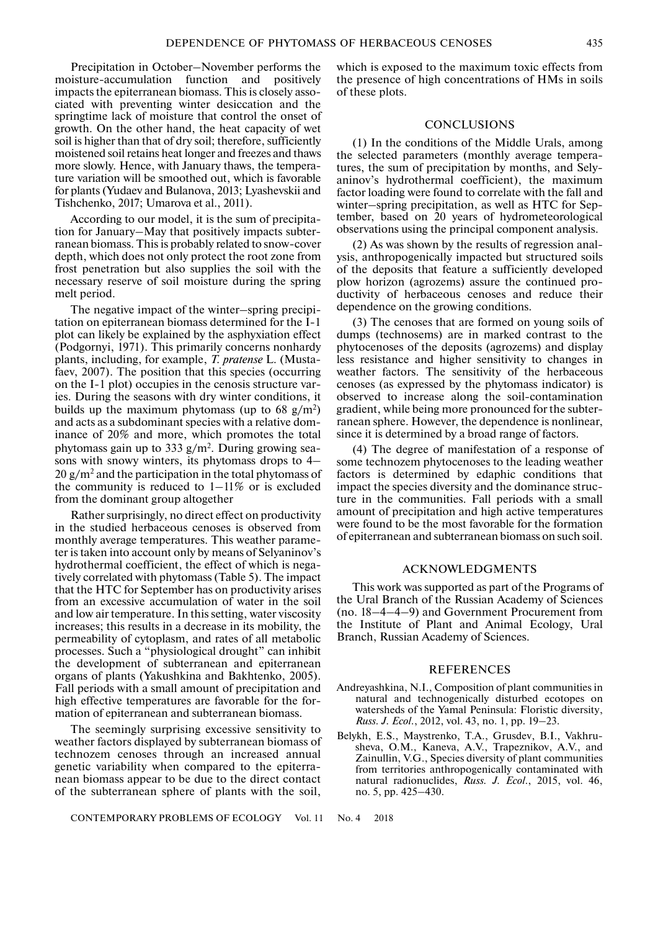Precipitation in October–November performs the moisture-accumulation function and positively impacts the epiterranean biomass. This is closely associated with preventing winter desiccation and the springtime lack of moisture that control the onset of growth. On the other hand, the heat capacity of wet soil is higher than that of dry soil; therefore, sufficiently moistened soil retains heat longer and freezes and thaws more slowly. Hence, with January thaws, the temperature variation will be smoothed out, which is favorable for plants (Yudaev and Bulanova, 2013; Lyashevskii and Tishchenko, 2017; Umarova et al., 2011).

According to our model, it is the sum of precipitation for January–May that positively impacts subterranean biomass. This is probably related to snow-cover depth, which does not only protect the root zone from frost penetration but also supplies the soil with the necessary reserve of soil moisture during the spring melt period.

The negative impact of the winter–spring precipitation on epiterranean biomass determined for the I-1 plot can likely be explained by the asphyxiation effect (Podgornyi, 1971). This primarily concerns nonhardy plants, including, for example, *T. pratense* L. (Mustafaev, 2007). The position that this species (occurring on the I-1 plot) occupies in the cenosis structure varies. During the seasons with dry winter conditions, it builds up the maximum phytomass (up to  $68 \text{ g/m}^2$ ) and acts as a subdominant species with a relative dominance of 20% and more, which promotes the total phytomass gain up to  $333 \text{ g/m}^2$ . During growing seasons with snowy winters, its phytomass drops to 4–  $20 \text{ g/m}^2$  and the participation in the total phytomass of the community is reduced to  $1-11\%$  or is excluded from the dominant group altogether

Rather surprisingly, no direct effect on productivity in the studied herbaceous cenoses is observed from monthly average temperatures. This weather parameter is taken into account only by means of Selyaninov's hydrothermal coefficient, the effect of which is negatively correlated with phytomass (Table 5). The impact that the HTC for September has on productivity arises from an excessive accumulation of water in the soil and low air temperature. In this setting, water viscosity increases; this results in a decrease in its mobility, the permeability of cytoplasm, and rates of all metabolic processes. Such a "physiological drought" can inhibit the development of subterranean and epiterranean organs of plants (Yakushkina and Bakhtenko, 2005). Fall periods with a small amount of precipitation and high effective temperatures are favorable for the formation of epiterranean and subterranean biomass.

The seemingly surprising excessive sensitivity to weather factors displayed by subterranean biomass of technozem cenoses through an increased annual genetic variability when compared to the epiterranean biomass appear to be due to the direct contact of the subterranean sphere of plants with the soil,

which is exposed to the maximum toxic effects from the presence of high concentrations of HMs in soils of these plots.

# **CONCLUSIONS**

(1) In the conditions of the Middle Urals, among the selected parameters (monthly average temperatures, the sum of precipitation by months, and Selyaninov's hydrothermal coefficient), the maximum factor loading were found to correlate with the fall and winter–spring precipitation, as well as HTC for September, based on 20 years of hydrometeorological observations using the principal component analysis.

(2) As was shown by the results of regression analysis, anthropogenically impacted but structured soils of the deposits that feature a sufficiently developed plow horizon (agrozems) assure the continued productivity of herbaceous cenoses and reduce their dependence on the growing conditions.

(3) The cenoses that are formed on young soils of dumps (technosems) are in marked contrast to the phytocenoses of the deposits (agrozems) and display less resistance and higher sensitivity to changes in weather factors. The sensitivity of the herbaceous cenoses (as expressed by the phytomass indicator) is observed to increase along the soil-contamination gradient, while being more pronounced for the subterranean sphere. However, the dependence is nonlinear, since it is determined by a broad range of factors.

(4) The degree of manifestation of a response of some technozem phytocenoses to the leading weather factors is determined by edaphic conditions that impact the species diversity and the dominance structure in the communities. Fall periods with a small amount of precipitation and high active temperatures were found to be the most favorable for the formation of epiterranean and subterranean biomass on such soil.

#### ACKNOWLEDGMENTS

This work was supported as part of the Programs of the Ural Branch of the Russian Academy of Sciences (no. 18–4–4–9) and Government Procurement from the Institute of Plant and Animal Ecology, Ural Branch, Russian Academy of Sciences.

## REFERENCES

- Andreyashkina, N.I., Composition of plant communities in natural and technogenically disturbed ecotopes on watersheds of the Yamal Peninsula: Floristic diversity, *Russ. J. Ecol*., 2012, vol. 43, no. 1, pp. 19–23.
- Belykh, E.S., Maystrenko, T.A., Grusdev, B.I., Vakhrusheva, O.M., Kaneva, A.V., Trapeznikov, A.V., and Zainullin, V.G., Species diversity of plant communities from territories anthropogenically contaminated with natural radionuclides, *Russ. J. Ecol*., 2015, vol. 46, no. 5, pp. 425–430.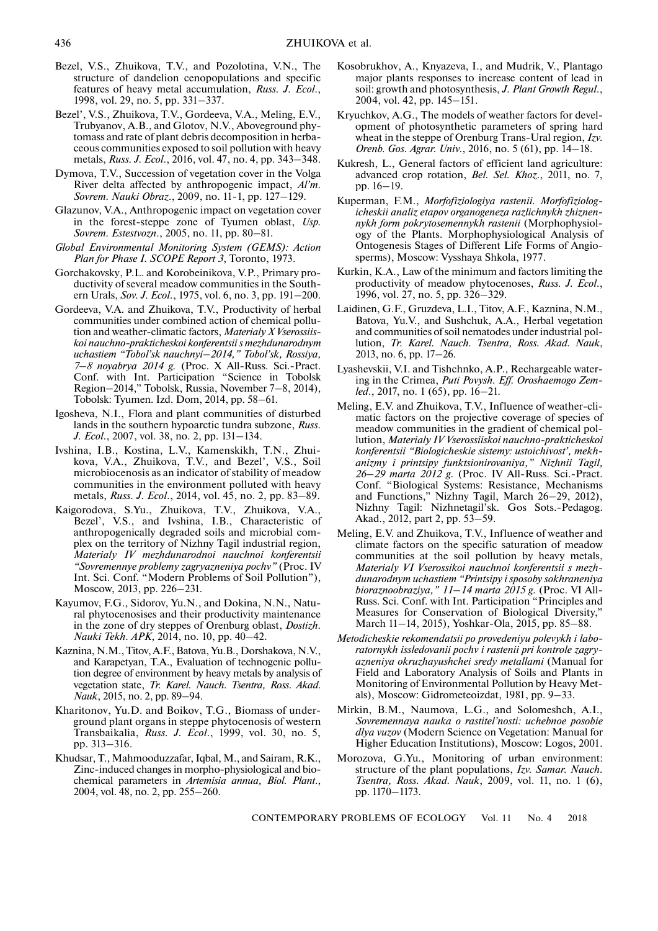- Bezel, V.S., Zhuikova, T.V., and Pozolotina, V.N., The structure of dandelion cenopopulations and specific features of heavy metal accumulation, *Russ. J. Ecol*., 1998, vol. 29, no. 5, pp. 331–337.
- Bezel', V.S., Zhuikova, T.V., Gordeeva, V.A., Meling, E.V., Trubyanov, A.B., and Glotov, N.V., Aboveground phytomass and rate of plant debris decomposition in herbaceous communities exposed to soil pollution with heavy metals, *Russ. J. Ecol*., 2016, vol. 47, no. 4, pp. 343–348.
- Dymova, T.V., Succession of vegetation cover in the Volga River delta affected by anthropogenic impact, *Al'm. Sovrem. Nauki Obraz*., 2009, no. 11-1, pp. 127–129.
- Glazunov, V.A., Anthropogenic impact on vegetation cover in the forest-steppe zone of Tyumen oblast, *Usp. Sovrem. Estestvozn*., 2005, no. 11, pp. 80–81.
- *Global Environmental Monitoring System (GEMS): Action Plan for Phase I. SCOPE Report 3*, Toronto, 1973.
- Gorchakovsky, P.L. and Korobeinikova, V.P., Primary productivity of several meadow communities in the Southern Urals, *Sov. J. Ecol*., 1975, vol. 6, no. 3, pp. 191–200.
- Gordeeva, V.A. and Zhuikova, T.V., Productivity of herbal communities under combined action of chemical pollution and weather-climatic factors, *Materialy X Vserossiiskoi nauchno-prakticheskoi konferentsii s mezhdunarodnym uchastiem "Tobol'sk nauchnyi–2014," Tobol'sk, Rossiya, 7–8 noyabrya 2014 g.* (Proc. X All-Russ. Sci.-Pract. Conf. with Int. Participation "Science in Tobolsk Region–2014," Tobolsk, Russia, November 7–8, 2014), Tobolsk: Tyumen. Izd. Dom, 2014, pp. 58–61.
- Igosheva, N.I., Flora and plant communities of disturbed lands in the southern hypoarctic tundra subzone, *Russ. J. Ecol*., 2007, vol. 38, no. 2, pp. 131–134.
- Ivshina, I.B., Kostina, L.V., Kamenskikh, T.N., Zhuikova, V.A., Zhuikova, T.V., and Bezel', V.S., Soil microbiocenosis as an indicator of stability of meadow communities in the environment polluted with heavy metals, *Russ. J. Ecol*., 2014, vol. 45, no. 2, pp. 83–89.
- Kaigorodova, S.Yu., Zhuikova, T.V., Zhuikova, V.A., Bezel', V.S., and Ivshina, I.B., Characteristic of anthropogenically degraded soils and microbial complex on the territory of Nizhny Tagil industrial region, *Materialy IV mezhdunarodnoi nauchnoi konferentsii "Sovremennye problemy zagryazneniya pochv"* (Proc. IV Int. Sci. Conf. "Modern Problems of Soil Pollution"), Moscow, 2013, pp. 226–231.
- Kayumov, F.G., Sidorov, Yu.N., and Dokina, N.N., Natural phytocenosises and their productivity maintenance in the zone of dry steppes of Orenburg oblast, *Dostizh. Nauki Tekh. APK*, 2014, no. 10, pp. 40–42.
- Kaznina, N.M., Titov, A.F., Batova, Yu.B., Dorshakova, N.V., and Karapetyan, T.A., Evaluation of technogenic pollution degree of environment by heavy metals by analysis of vegetation state, *Tr. Karel. Nauch. Tsentra, Ross. Akad. Nauk*, 2015, no. 2, pp. 89–94.
- Kharitonov, Yu.D. and Boikov, T.G., Biomass of underground plant organs in steppe phytocenosis of western Transbaikalia, *Russ. J. Ecol*., 1999, vol. 30, no. 5, pp. 313–316.
- Khudsar, T., Mahmooduzzafar, Iqbal, M., and Sairam, R.K., Zinc-induced changes in morpho-physiological and biochemical parameters in *Artemisia annua, Biol. Plant*., 2004, vol. 48, no. 2, pp. 255–260.
- Kosobrukhov, A., Knyazeva, I., and Mudrik, V., Plantago major plants responses to increase content of lead in soil: growth and photosynthesis, *J. Plant Growth Regul*., 2004, vol. 42, pp. 145–151.
- Kryuchkov, A.G., The models of weather factors for development of photosynthetic parameters of spring hard wheat in the steppe of Orenburg Trans-Ural region, *Izv. Orenb. Gos. Agrar. Univ*., 2016, no. 5 (61), pp. 14–18.
- Kukresh, L., General factors of efficient land agriculture: advanced crop rotation, *Bel. Sel. Khoz*., 2011, no. 7, pp. 16–19.
- Kuperman, F.M., *Morfofiziologiya rastenii. Morfofiziologicheskii analiz etapov organogeneza razlichnykh zhiznennykh form pokrytosemennykh rastenii* (Morphophysiology of the Plants. Morphophysiological Analysis of Ontogenesis Stages of Different Life Forms of Angiosperms), Moscow: Vysshaya Shkola, 1977.
- Kurkin, K.A., Law of the minimum and factors limiting the productivity of meadow phytocenoses, *Russ. J. Ecol*., 1996, vol. 27, no. 5, pp. 326–329.
- Laidinen, G.F., Gruzdeva, L.I., Titov, A.F., Kaznina, N.M., Batova, Yu.V., and Sushchuk, A.A., Herbal vegetation and communities of soil nematodes under industrial pollution, *Tr. Karel. Nauch. Tsentra, Ross. Akad. Nauk*, 2013, no. 6, pp. 17–26.
- Lyashevskii, V.I. and Tishchnko, A.P., Rechargeable watering in the Crimea, *Puti Povysh. Eff. Oroshaemogo Zemled*., 2017, no. 1 (65), pp. 16–21.
- Meling, E.V. and Zhuikova, T.V., Influence of weather-climatic factors on the projective coverage of species of meadow communities in the gradient of chemical pollution, *Materialy IV Vserossiiskoi nauchno-prakticheskoi konferentsii "Biologicheskie sistemy: ustoichivost', mekhanizmy i printsipy funktsionirovaniya," Nizhnii Tagil, 26–29 marta 2012 g.* (Proc. IV All-Russ. Sci.-Pract. Conf. "Biological Systems: Resistance, Mechanisms and Functions," Nizhny Tagil, March 26–29, 2012), Nizhny Tagil: Nizhnetagil'sk. Gos Sots.-Pedagog. Akad., 2012, part 2, pp. 53–59.
- Meling, E.V. and Zhuikova, T.V., Influence of weather and climate factors on the specific saturation of meadow communities at the soil pollution by heavy metals, *Materialy VI Vserossikoi nauchnoi konferentsii s mezhdunarodnym uchastiem "Printsipy i sposoby sokhraneniya bioraznoobraziya," 11–14 marta 2015 g.* (Proc. VI All-Russ. Sci. Conf. with Int. Participation "Principles and Measures for Conservation of Biological Diversity, March 11–14, 2015), Yoshkar-Ola, 2015, pp. 85–88.
- *Metodicheskie rekomendatsii po provedeniyu polevykh i laboratornykh issledovanii pochv i rastenii pri kontrole zagryazneniya okruzhayushchei sredy metallami* (Manual for Field and Laboratory Analysis of Soils and Plants in Monitoring of Environmental Pollution by Heavy Metals), Moscow: Gidrometeoizdat, 1981, pp. 9–33.
- Mirkin, B.M., Naumova, L.G., and Solomeshch, A.I., *Sovremennaya nauka o rastitel'nosti: uchebnoe posobie dlya vuzov* (Modern Science on Vegetation: Manual for Higher Education Institutions), Moscow: Logos, 2001.
- Morozova, G.Yu., Monitoring of urban environment: structure of the plant populations, *Izv. Samar. Nauch. Tsentra, Ross. Akad. Nauk*, 2009, vol. 11, no. 1 (6), pp. 1170–1173.